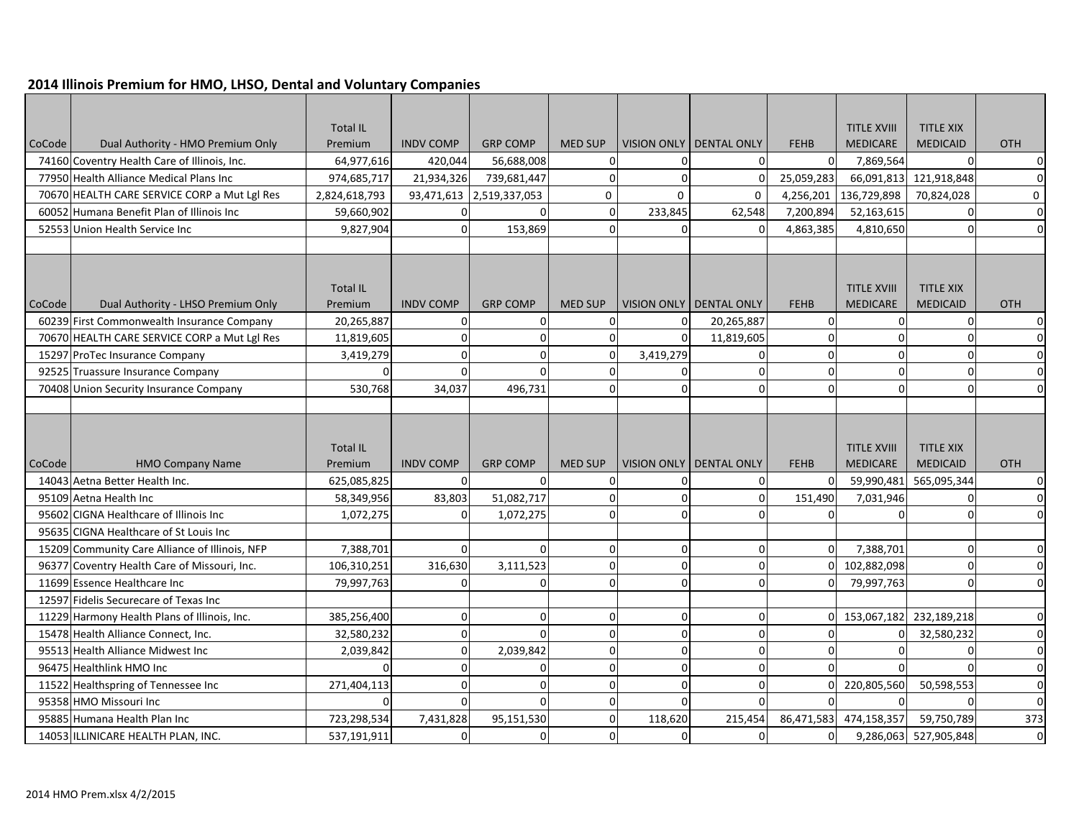## **2014 Illinois Premium for HMO, LHSO, Dental and Voluntary Companies**

|        |                                                                          | <b>Total IL</b>       |                  |                          |                |                      |                           |             | <b>TITLE XVIII</b> | <b>TITLE XIX</b>       |                  |
|--------|--------------------------------------------------------------------------|-----------------------|------------------|--------------------------|----------------|----------------------|---------------------------|-------------|--------------------|------------------------|------------------|
| CoCode | Dual Authority - HMO Premium Only                                        | Premium               | <b>INDV COMP</b> | <b>GRP COMP</b>          | <b>MED SUP</b> |                      | VISION ONLY   DENTAL ONLY | <b>FEHB</b> | <b>MEDICARE</b>    | <b>MEDICAID</b>        | <b>OTH</b>       |
|        | 74160 Coventry Health Care of Illinois, Inc.                             | 64,977,616            | 420,044          | 56,688,008               | $\Omega$       | $\Omega$             | $\Omega$                  | $\Omega$    | 7,869,564          | $\Omega$               | $\overline{0}$   |
|        | 77950 Health Alliance Medical Plans Inc                                  | 974,685,717           | 21,934,326       | 739,681,447              | $\mathbf 0$    | $\Omega$             | $\Omega$                  | 25,059,283  | 66,091,813         | 121,918,848            | $\overline{0}$   |
|        | 70670 HEALTH CARE SERVICE CORP a Mut Lgl Res                             | 2,824,618,793         |                  | 93,471,613 2,519,337,053 | $\mathbf 0$    | $\mathbf 0$          | $\mathbf 0$               | 4,256,201   | 136,729,898        | 70,824,028             | $\pmb{0}$        |
|        | 60052 Humana Benefit Plan of Illinois Inc                                | 59,660,902            | 0                |                          | $\Omega$       | 233,845              | 62,548                    | 7,200,894   | 52,163,615         | $\Omega$               | $\overline{0}$   |
|        | 52553 Union Health Service Inc                                           | 9,827,904             | $\mathbf 0$      | 153,869                  | $\Omega$       | 0                    |                           | 4,863,385   | 4,810,650          | $\Omega$               | $\overline{0}$   |
|        |                                                                          |                       |                  |                          |                |                      |                           |             |                    |                        |                  |
|        |                                                                          |                       |                  |                          |                |                      |                           |             |                    |                        |                  |
|        |                                                                          | <b>Total IL</b>       |                  |                          |                |                      |                           |             | <b>TITLE XVIII</b> | <b>TITLE XIX</b>       |                  |
| CoCode | Dual Authority - LHSO Premium Only                                       | Premium               | <b>INDV COMP</b> | <b>GRP COMP</b>          | <b>MED SUP</b> | <b>VISION ONLY</b>   | DENTAL ONLY               | <b>FEHB</b> | <b>MEDICARE</b>    | <b>MEDICAID</b>        | <b>OTH</b>       |
|        | 60239 First Commonwealth Insurance Company                               | 20,265,887            | $\mathbf 0$      | $\Omega$                 | $\Omega$       | $\Omega$             | 20,265,887                | $\Omega$    | $\Omega$           | $\Omega$               | $\Omega$         |
|        | 70670 HEALTH CARE SERVICE CORP a Mut Lgl Res                             | 11,819,605            | $\overline{0}$   | $\Omega$                 | $\Omega$       | $\Omega$             | 11,819,605                | $\Omega$    | $\Omega$           | $\Omega$               | $\Omega$         |
|        | 15297 ProTec Insurance Company                                           | 3,419,279             | $\Omega$         | U                        | $\Omega$       | 3,419,279            | ŋ                         | $\Omega$    | $\Omega$           | $\Omega$               |                  |
|        | 92525 Truassure Insurance Company                                        | $\Omega$              | $\Omega$         |                          | O              | $\Omega$             |                           | $\Omega$    | $\mathbf 0$        | $\Omega$               |                  |
|        | 70408 Union Security Insurance Company                                   | 530,768               | 34,037           | 496,731                  | $\Omega$       | $\Omega$             |                           | $\Omega$    | $\Omega$           | $\sqrt{ }$             | $\Omega$         |
|        |                                                                          |                       |                  |                          |                |                      |                           |             |                    |                        |                  |
|        |                                                                          |                       |                  |                          |                |                      |                           |             |                    |                        |                  |
|        |                                                                          |                       |                  |                          |                |                      |                           |             |                    |                        |                  |
|        |                                                                          |                       |                  |                          |                |                      |                           |             |                    |                        |                  |
|        |                                                                          | <b>Total IL</b>       |                  |                          |                |                      |                           |             | <b>TITLE XVIII</b> | <b>TITLE XIX</b>       |                  |
| CoCode | <b>HMO Company Name</b>                                                  | Premium               | <b>INDV COMP</b> | <b>GRP COMP</b>          | <b>MED SUP</b> | <b>VISION ONLY</b>   | <b>DENTAL ONLY</b>        | <b>FEHB</b> | <b>MEDICARE</b>    | <b>MEDICAID</b>        | <b>OTH</b>       |
|        | 14043 Aetna Better Health Inc.                                           | 625,085,825           | $\Omega$         | $\Omega$                 | $\Omega$       | $\Omega$             |                           | $\Omega$    | 59,990,481         | 565,095,344            | $\Omega$         |
|        | 95109 Aetna Health Inc                                                   | 58,349,956            | 83,803           | 51,082,717               | 0              | $\Omega$             |                           | 151,490     | 7,031,946          | $\Omega$               | $\Omega$         |
|        | 95602 CIGNA Healthcare of Illinois Inc                                   | 1,072,275             | $\Omega$         | 1,072,275                | $\Omega$       | $\Omega$             |                           | $\Omega$    | $\Omega$           | $\Omega$               | $\Omega$         |
|        | 95635 CIGNA Healthcare of St Louis Inc                                   |                       |                  |                          |                |                      | ŋ                         |             |                    |                        |                  |
|        | 15209 Community Care Alliance of Illinois, NFP                           | 7,388,701             | $\Omega$         |                          | $\Omega$       | 0                    | $\Omega$                  | 0           | 7,388,701          | $\Omega$               | $\Omega$         |
|        | 96377 Coventry Health Care of Missouri, Inc.                             | 106,310,251           | 316,630          | 3,111,523<br>U           | $\Omega$<br>0  | $\Omega$<br>$\Omega$ | $\Omega$                  | O           | 102,882,098        | $\Omega$<br>$\Omega$   | $\Omega$         |
|        | 11699 Essence Healthcare Inc                                             | 79,997,763            | $\mathbf 0$      |                          |                |                      |                           |             | 79,997,763         |                        | $\overline{0}$   |
|        | 12597 Fidelis Securecare of Texas Inc                                    |                       |                  | O                        | 0              |                      | ŋ                         |             |                    |                        |                  |
|        | 11229 Harmony Health Plans of Illinois, Inc.                             | 385,256,400           | 0<br>$\mathbf 0$ |                          | $\Omega$       | 0<br>$\Omega$        |                           | $\Omega$    | 153,067,182        | 232,189,218            | 0<br>$\mathbf 0$ |
|        | 15478 Health Alliance Connect, Inc.<br>95513 Health Alliance Midwest Inc | 32,580,232            | $\mathbf 0$      | 2,039,842                | $\overline{0}$ | $\Omega$             | $\Omega$                  | $\Omega$    | $\Omega$           | 32,580,232<br>$\Omega$ | $\mathbf 0$      |
|        | 96475 Healthlink HMO Inc                                                 | 2,039,842<br>$\Omega$ | $\Omega$         |                          | O              | $\Omega$             |                           |             |                    |                        | $\Omega$         |
|        | 11522 Healthspring of Tennessee Inc                                      | 271,404,113           | $\Omega$         | n                        | $\Omega$       | $\Omega$             | n                         | U           | 220,805,560        | 50,598,553             | $\Omega$         |
|        | 95358 HMO Missouri Inc                                                   | $\Omega$              | $\overline{0}$   | O                        | $\Omega$       | $\Omega$             |                           |             | $\Omega$           | $\Omega$               | $\mathbf 0$      |
|        | 95885 Humana Health Plan Inc                                             | 723,298,534           | 7,431,828        | 95,151,530               | $\overline{0}$ | 118,620              | 215,454                   | 86,471,583  | 474,158,357        | 59,750,789             | 373              |